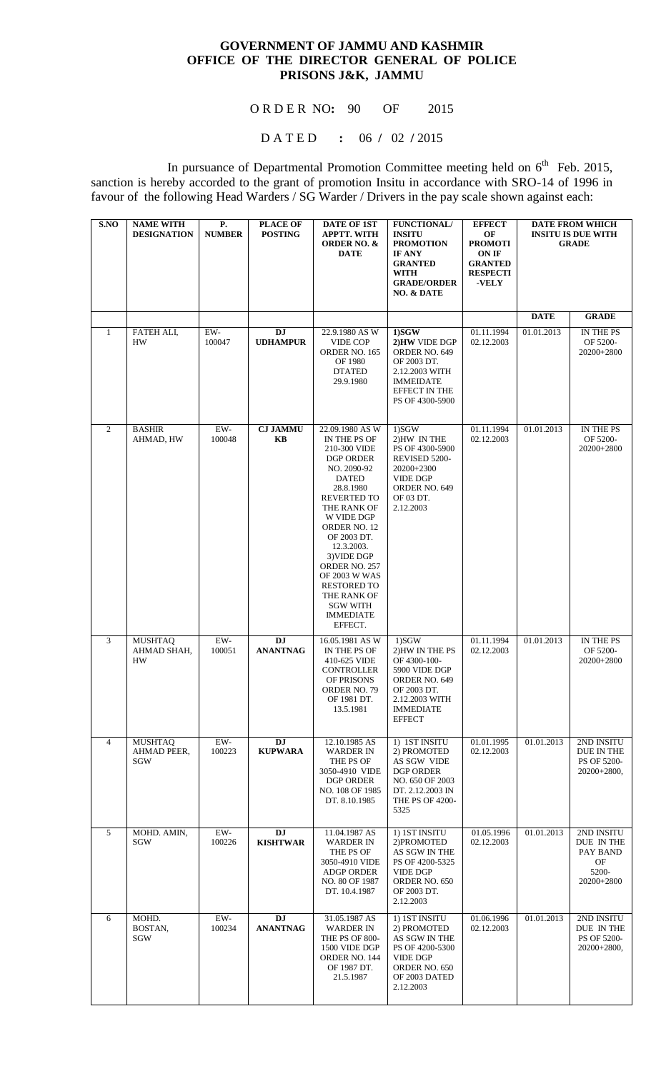## **GOVERNMENT OF JAMMU AND KASHMIR OFFICE OF THE DIRECTOR GENERAL OF POLICE PRISONS J&K, JAMMU**

O R D E R NO**:** 90 OF 2015

D A T E D **:** 06 **/** 02 **/** 2015

In pursuance of Departmental Promotion Committee meeting held on  $6<sup>th</sup>$  Feb. 2015, sanction is hereby accorded to the grant of promotion Insitu in accordance with SRO-14 of 1996 in favour of the following Head Warders / SG Warder / Drivers in the pay scale shown against each:

| S.NO           | <b>NAME WITH</b><br><b>DESIGNATION</b>      | P.<br><b>NUMBER</b> | <b>PLACE OF</b><br><b>POSTING</b> | <b>DATE OF 1ST</b><br><b>APPTT. WITH</b><br><b>ORDER NO. &amp;</b><br><b>DATE</b>                                                                                                                                                                                                                                                                              | <b>FUNCTIONAL/</b><br><b>INSITU</b><br><b>PROMOTION</b><br><b>IF ANY</b><br><b>GRANTED</b><br><b>WITH</b><br><b>GRADE/ORDER</b><br>NO. & DATE    | <b>EFFECT</b><br>OF<br><b>PROMOTI</b><br>ON IF<br><b>GRANTED</b><br><b>RESPECTI</b><br>-VELY | <b>DATE FROM WHICH</b><br><b>INSITU IS DUE WITH</b><br><b>GRADE</b> |                                                                   |
|----------------|---------------------------------------------|---------------------|-----------------------------------|----------------------------------------------------------------------------------------------------------------------------------------------------------------------------------------------------------------------------------------------------------------------------------------------------------------------------------------------------------------|--------------------------------------------------------------------------------------------------------------------------------------------------|----------------------------------------------------------------------------------------------|---------------------------------------------------------------------|-------------------------------------------------------------------|
|                |                                             |                     |                                   |                                                                                                                                                                                                                                                                                                                                                                |                                                                                                                                                  |                                                                                              | <b>DATE</b>                                                         | <b>GRADE</b>                                                      |
| $\mathbf{1}$   | FATEH ALI,<br><b>HW</b>                     | EW-<br>100047       | DJ<br><b>UDHAMPUR</b>             | 22.9.1980 AS W<br><b>VIDE COP</b><br>ORDER NO. 165<br>OF 1980<br><b>DTATED</b><br>29.9.1980                                                                                                                                                                                                                                                                    | $1)$ SGW<br>2) HW VIDE DGP<br>ORDER NO. 649<br>OF 2003 DT.<br>2.12.2003 WITH<br><b>IMMEIDATE</b><br>EFFECT IN THE<br>PS OF 4300-5900             | 01.11.1994<br>02.12.2003                                                                     | 01.01.2013                                                          | IN THE PS<br>OF 5200-<br>20200+2800                               |
| $\overline{2}$ | <b>BASHIR</b><br>AHMAD, HW                  | EW-<br>100048       | <b>CJ JAMMU</b><br>KB             | 22.09.1980 AS W<br>IN THE PS OF<br>210-300 VIDE<br><b>DGP ORDER</b><br>NO. 2090-92<br><b>DATED</b><br>28.8.1980<br><b>REVERTED TO</b><br>THE RANK OF<br>W VIDE DGP<br>ORDER NO. 12<br>OF 2003 DT.<br>12.3.2003.<br>3) VIDE DGP<br>ORDER NO. 257<br><b>OF 2003 W WAS</b><br><b>RESTORED TO</b><br>THE RANK OF<br><b>SGW WITH</b><br><b>IMMEDIATE</b><br>EFFECT. | 1)SGW<br>2)HW IN THE<br>PS OF 4300-5900<br>REVISED 5200-<br>20200+2300<br><b>VIDE DGP</b><br>ORDER NO. 649<br>OF 03 DT.<br>2.12.2003             | 01.11.1994<br>02.12.2003                                                                     | 01.01.2013                                                          | IN THE PS<br>OF 5200-<br>20200+2800                               |
| 3              | <b>MUSHTAQ</b><br>AHMAD SHAH,<br>HW         | $EW-$<br>100051     | DJ<br><b>ANANTNAG</b>             | 16.05.1981 AS W<br>IN THE PS OF<br>410-625 VIDE<br><b>CONTROLLER</b><br>OF PRISONS<br><b>ORDER NO. 79</b><br>OF 1981 DT.<br>13.5.1981                                                                                                                                                                                                                          | 1)SGW<br>2) HW IN THE PS<br>OF 4300-100-<br>5900 VIDE DGP<br>ORDER NO. 649<br>OF 2003 DT.<br>2.12.2003 WITH<br><b>IMMEDIATE</b><br><b>EFFECT</b> | 01.11.1994<br>02.12.2003                                                                     | 01.01.2013                                                          | IN THE PS<br>OF 5200-<br>20200+2800                               |
| $\overline{4}$ | <b>MUSHTAQ</b><br><b>AHMAD PEER.</b><br>SGW | EW-<br>100223       | DJ<br><b>KUPWARA</b>              | 12.10.1985 AS<br><b>WARDER IN</b><br>THE PS OF<br>3050-4910 VIDE<br>DGP ORDER<br>NO. 108 OF 1985<br>DT. 8.10.1985                                                                                                                                                                                                                                              | 1) 1ST INSITU<br>2) PROMOTED<br>AS SGW VIDE<br>DGP ORDER<br>NO. 650 OF 2003<br>DT. 2.12.2003 IN<br><b>THE PS OF 4200-</b><br>5325                | 01.01.1995<br>02.12.2003                                                                     | 01.01.2013                                                          | 2ND INSITU<br>DUE IN THE<br>PS OF 5200-<br>$20200+2800,$          |
| 5              | MOHD. AMIN,<br>SGW                          | EW-<br>100226       | DJ<br><b>KISHTWAR</b>             | 11.04.1987 AS<br><b>WARDER IN</b><br>THE PS OF<br>3050-4910 VIDE<br><b>ADGP ORDER</b><br>NO. 80 OF 1987<br>DT. 10.4.1987                                                                                                                                                                                                                                       | 1) IST INSITU<br>2) PROMOTED<br>AS SGW IN THE<br>PS OF 4200-5325<br><b>VIDE DGP</b><br>ORDER NO. 650<br>OF 2003 DT.<br>2.12.2003                 | 01.05.1996<br>02.12.2003                                                                     | 01.01.2013                                                          | 2ND INSITU<br>DUE IN THE<br>PAY BAND<br>OF<br>5200-<br>20200+2800 |
| 6              | MOHD.<br>BOSTAN,<br>SGW                     | EW-<br>100234       | DJ<br><b>ANANTNAG</b>             | 31.05.1987 AS<br><b>WARDER IN</b><br>THE PS OF 800-<br>1500 VIDE DGP<br>ORDER NO. 144<br>OF 1987 DT.<br>21.5.1987                                                                                                                                                                                                                                              | 1) IST INSITU<br>2) PROMOTED<br>AS SGW IN THE<br>PS OF 4200-5300<br><b>VIDE DGP</b><br>ORDER NO. 650<br>OF 2003 DATED<br>2.12.2003               | 01.06.1996<br>02.12.2003                                                                     | 01.01.2013                                                          | 2ND INSITU<br>DUE IN THE<br>PS OF 5200-<br>$20200+2800,$          |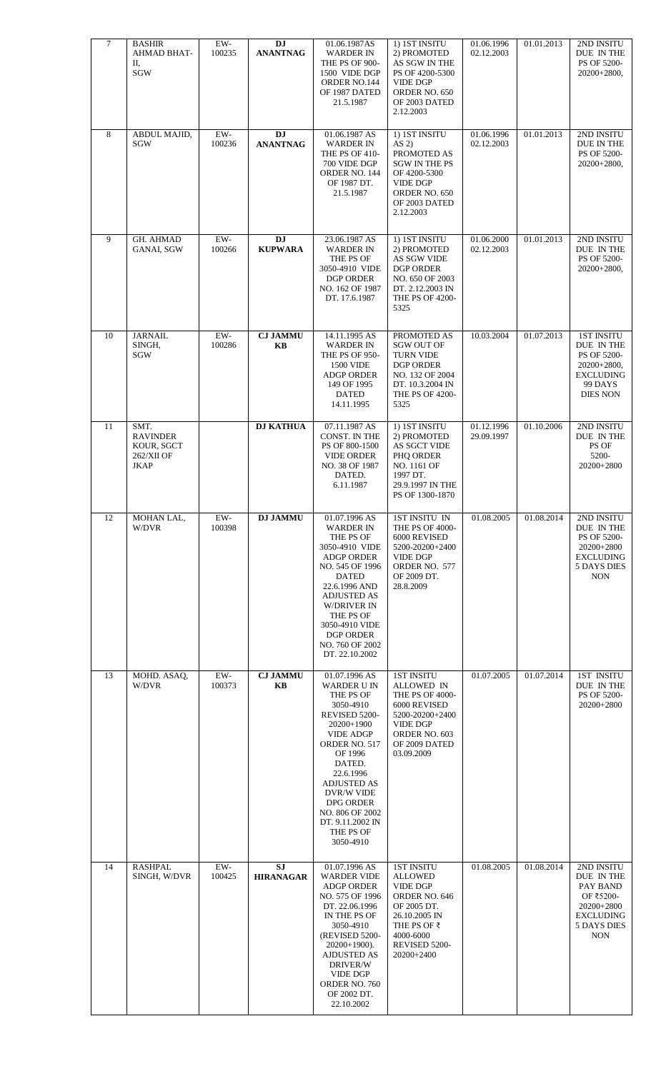| $\tau$ | <b>BASHIR</b><br>AHMAD BHAT-<br>П,<br>SGW                          | $EW-$<br>100235 | DJ<br><b>ANANTNAG</b>         | 01.06.1987AS<br><b>WARDER IN</b><br>THE PS OF 900-<br>1500 VIDE DGP<br>ORDER NO.144<br>OF 1987 DATED<br>21.5.1987                                                                                                                                                              | 1) IST INSITU<br>2) PROMOTED<br>AS SGW IN THE<br>PS OF 4200-5300<br><b>VIDE DGP</b><br>ORDER NO. 650<br>OF 2003 DATED<br>2.12.2003                                 | 01.06.1996<br>02.12.2003 | 01.01.2013 | 2ND INSITU<br>DUE IN THE<br>PS OF 5200-<br>20200+2800,                                                            |
|--------|--------------------------------------------------------------------|-----------------|-------------------------------|--------------------------------------------------------------------------------------------------------------------------------------------------------------------------------------------------------------------------------------------------------------------------------|--------------------------------------------------------------------------------------------------------------------------------------------------------------------|--------------------------|------------|-------------------------------------------------------------------------------------------------------------------|
| 8      | ABDUL MAJID,<br>SGW                                                | EW-<br>100236   | DJ<br><b>ANANTNAG</b>         | 01.06.1987 AS<br><b>WARDER IN</b><br>THE PS OF 410-<br>700 VIDE DGP<br>ORDER NO. 144<br>OF 1987 DT.<br>21.5.1987                                                                                                                                                               | 1) IST INSITU<br>$AS2$ )<br>PROMOTED AS<br><b>SGW IN THE PS</b><br>OF 4200-5300<br><b>VIDE DGP</b><br>ORDER NO. 650<br>OF 2003 DATED<br>2.12.2003                  | 01.06.1996<br>02.12.2003 | 01.01.2013 | 2ND INSITU<br>DUE IN THE<br>PS OF 5200-<br>20200+2800,                                                            |
| 9      | <b>GH. AHMAD</b><br>GANAI, SGW                                     | EW-<br>100266   | <b>DJ</b><br><b>KUPWARA</b>   | 23.06.1987 AS<br><b>WARDER IN</b><br>THE PS OF<br>3050-4910 VIDE<br><b>DGP ORDER</b><br>NO. 162 OF 1987<br>DT. 17.6.1987                                                                                                                                                       | 1) IST INSITU<br>2) PROMOTED<br>AS SGW VIDE<br><b>DGP ORDER</b><br>NO. 650 OF 2003<br>DT. 2.12.2003 IN<br><b>THE PS OF 4200-</b><br>5325                           | 01.06.2000<br>02.12.2003 | 01.01.2013 | 2ND INSITU<br>DUE IN THE<br>PS OF 5200-<br>$20200+2800,$                                                          |
| 10     | <b>JARNAIL</b><br>SINGH,<br>SGW                                    | $EW-$<br>100286 | <b>CJ JAMMU</b><br>KB         | 14.11.1995 AS<br><b>WARDER IN</b><br>THE PS OF 950-<br><b>1500 VIDE</b><br><b>ADGP ORDER</b><br>149 OF 1995<br><b>DATED</b><br>14.11.1995                                                                                                                                      | PROMOTED AS<br><b>SGW OUT OF</b><br><b>TURN VIDE</b><br><b>DGP ORDER</b><br>NO. 132 OF 2004<br>DT. 10.3.2004 IN<br>THE PS OF 4200-<br>5325                         | 10.03.2004               | 01.07.2013 | <b>1ST INSITU</b><br>DUE IN THE<br>PS OF 5200-<br>$20200+2800,$<br><b>EXCLUDING</b><br>99 DAYS<br><b>DIES NON</b> |
| 11     | SMT.<br><b>RAVINDER</b><br>KOUR, SGCT<br>262/XII OF<br><b>JKAP</b> |                 | <b>DJ KATHUA</b>              | 07.11.1987 AS<br><b>CONST. IN THE</b><br>PS OF 800-1500<br><b>VIDE ORDER</b><br>NO. 38 OF 1987<br>DATED.<br>6.11.1987                                                                                                                                                          | 1) IST INSITU<br>2) PROMOTED<br>AS SGCT VIDE<br>PHQ ORDER<br>NO. 1161 OF<br>1997 DT.<br>29.9.1997 IN THE<br>PS OF 1300-1870                                        | 01.12.1996<br>29.09.1997 | 01.10.2006 | 2ND INSITU<br>DUE IN THE<br>PS OF<br>5200-<br>20200+2800                                                          |
| 12     | MOHAN LAL,<br>W/DVR                                                | EW-<br>100398   | <b>DJ JAMMU</b>               | 01.07.1996 AS<br><b>WARDER IN</b><br>THE PS OF<br>3050-4910 VIDE<br><b>ADGP ORDER</b><br>NO. 545 OF 1996<br><b>DATED</b><br>22.6.1996 AND<br><b>ADJUSTED AS</b><br><b>W/DRIVER IN</b><br>THE PS OF<br>3050-4910 VIDE<br><b>DGP ORDER</b><br>NO. 760 OF 2002<br>DT. 22.10.2002  | 1ST INSITU IN<br>THE PS OF 4000-<br>6000 REVISED<br>5200-20200+2400<br><b>VIDE DGP</b><br>ORDER NO. 577<br>OF 2009 DT.<br>28.8.2009                                | 01.08.2005               | 01.08.2014 | 2ND INSITU<br>DUE IN THE<br>PS OF 5200-<br>20200+2800<br><b>EXCLUDING</b><br><b>5 DAYS DIES</b><br>$\rm{NON}$     |
| 13     | MOHD. ASAQ,<br>W/DVR                                               | EW-<br>100373   | <b>CJ JAMMU</b><br>KB         | 01.07.1996 AS<br>WARDER U IN<br>THE PS OF<br>3050-4910<br>REVISED 5200-<br>20200+1900<br><b>VIDE ADGP</b><br>ORDER NO. 517<br>OF 1996<br>DATED.<br>22.6.1996<br><b>ADJUSTED AS</b><br>DVR/W VIDE<br>DPG ORDER<br>NO. 806 OF 2002<br>DT. 9.11.2002 IN<br>THE PS OF<br>3050-4910 | <b>1ST INSITU</b><br>ALLOWED IN<br>THE PS OF 4000-<br>6000 REVISED<br>5200-20200+2400<br><b>VIDE DGP</b><br>ORDER NO. 603<br>OF 2009 DATED<br>03.09.2009           | 01.07.2005               | 01.07.2014 | <b>1ST INSITU</b><br>DUE IN THE<br>PS OF 5200-<br>20200+2800                                                      |
| 14     | <b>RASHPAL</b><br>SINGH, W/DVR                                     | EW-<br>100425   | <b>SJ</b><br><b>HIRANAGAR</b> | 01.07.1996 AS<br><b>WARDER VIDE</b><br><b>ADGP ORDER</b><br>NO. 575 OF 1996<br>DT. 22.06.1996<br>IN THE PS OF<br>3050-4910<br>(REVISED 5200-<br>$20200+1900$ ).<br><b>AJDUSTED AS</b><br>DRIVER/W<br><b>VIDE DGP</b><br>ORDER NO. 760<br>OF 2002 DT.<br>22.10.2002             | <b>1ST INSITU</b><br><b>ALLOWED</b><br><b>VIDE DGP</b><br>ORDER NO. 646<br>OF 2005 DT.<br>26.10.2005 IN<br>THE PS OF ₹<br>4000-6000<br>REVISED 5200-<br>20200+2400 | 01.08.2005               | 01.08.2014 | 2ND INSITU<br>DUE IN THE<br>PAY BAND<br>OF ₹5200-<br>20200+2800<br><b>EXCLUDING</b><br>5 DAYS DIES<br><b>NON</b>  |